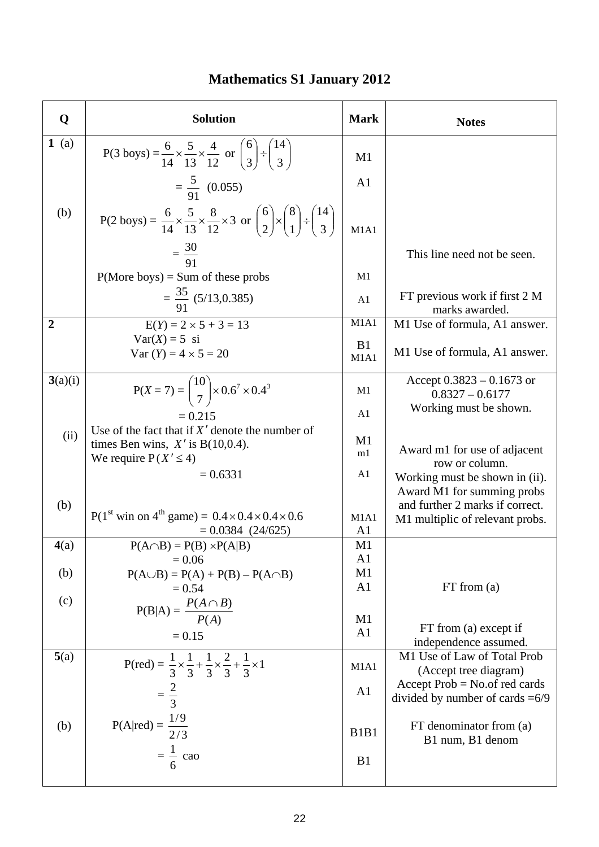| Q              | <b>Solution</b>                                                                                                                      | <b>Mark</b>                   | <b>Notes</b>                                                          |
|----------------|--------------------------------------------------------------------------------------------------------------------------------------|-------------------------------|-----------------------------------------------------------------------|
| 1(a)           | P(3 boys) = $\frac{6}{14} \times \frac{5}{13} \times \frac{4}{12}$ or $\binom{6}{3} \div \binom{14}{3}$                              | M1                            |                                                                       |
|                | $=\frac{5}{91}$ (0.055)                                                                                                              | A <sub>1</sub>                |                                                                       |
| (b)            | P(2 boys) = $\frac{6}{14} \times \frac{5}{13} \times \frac{8}{12} \times 3$ or $\binom{6}{2} \times \binom{8}{1} \div \binom{14}{3}$ | M1A1                          |                                                                       |
|                | $=\frac{30}{91}$                                                                                                                     |                               | This line need not be seen.                                           |
|                | $P(More boys) = Sum of these probes$                                                                                                 | M1                            |                                                                       |
|                | $=\frac{35}{91}$ (5/13,0.385)                                                                                                        | A1                            | FT previous work if first 2 M<br>marks awarded.                       |
| $\overline{2}$ | $E(Y) = 2 \times 5 + 3 = 13$                                                                                                         | M1A1                          | M1 Use of formula, A1 answer.                                         |
|                | $Var(X) = 5$ si<br>Var $(Y) = 4 \times 5 = 20$                                                                                       | B1<br>M1A1                    | M1 Use of formula, A1 answer.                                         |
| 3(a)(i)        | $P(X = 7) = {10 \choose 7} \times 0.6^7 \times 0.4^3$                                                                                | M1                            | Accept $0.3823 - 0.1673$ or<br>$0.8327 - 0.6177$                      |
|                | $= 0.215$                                                                                                                            | A1                            | Working must be shown.                                                |
| (ii)           | Use of the fact that if $X'$ denote the number of<br>times Ben wins, $X'$ is B(10,0.4).<br>We require $P(X' \le 4)$                  | M1<br>m1                      | Award m1 for use of adjacent<br>row or column.                        |
|                | $= 0.6331$                                                                                                                           | A1                            | Working must be shown in (ii).<br>Award M1 for summing probs          |
| (b)            | $P(1^{st} \text{ win on } 4^{th} \text{ game}) = 0.4 \times 0.4 \times 0.4 \times 0.6$<br>$= 0.0384$ (24/625)                        | M1A1<br>A1                    | and further 2 marks if correct.<br>M1 multiplic of relevant probs.    |
| 4(a)           | $P(A \cap B) = P(B) \times P(A B)$                                                                                                   | M1                            |                                                                       |
| (b)            | $= 0.06$<br>$P(A \cup B) = P(A) + P(B) - P(A \cap B)$                                                                                | A <sub>1</sub><br>M1          |                                                                       |
|                | $= 0.54$                                                                                                                             | A <sub>1</sub>                | FT from (a)                                                           |
| (c)            | $P(B A) = \frac{P(A \cap B)}{P(A)}$                                                                                                  | M1                            |                                                                       |
|                | $= 0.15$                                                                                                                             | A <sub>1</sub>                | FT from (a) except if<br>independence assumed.                        |
| 5(a)           | P(red) = $\frac{1}{3} \times \frac{1}{3} + \frac{1}{3} \times \frac{2}{3} + \frac{1}{3} \times 1$                                    | M1A1                          | M1 Use of Law of Total Prob<br>(Accept tree diagram)                  |
|                | $=\frac{2}{3}$                                                                                                                       | A <sub>1</sub>                | Accept $Prob = No.$ of red cards<br>divided by number of cards $=6/9$ |
| (b)            | $P(A   red) = \frac{1/9}{2/3}$                                                                                                       | B <sub>1</sub> B <sub>1</sub> | $FT$ denominator from $(a)$<br>B1 num, B1 denom                       |
|                | $=\frac{1}{6}$ cao                                                                                                                   | B1                            |                                                                       |

## **Mathematics S1 January 2012**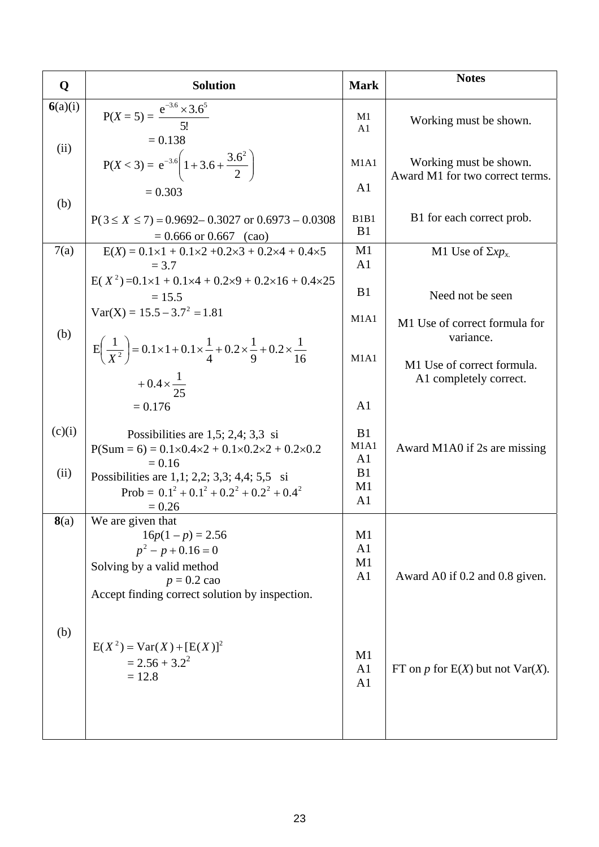| Q              | <b>Solution</b>                                                                                                                                                                                                                                                                  | <b>Mark</b>                                                                                           | <b>Notes</b>                                                      |
|----------------|----------------------------------------------------------------------------------------------------------------------------------------------------------------------------------------------------------------------------------------------------------------------------------|-------------------------------------------------------------------------------------------------------|-------------------------------------------------------------------|
| 6(a)(i)        | $P(X = 5) = {e^{-3.6} \times 3.6^5 \over 5!}$<br>$= 0.138$                                                                                                                                                                                                                       | M1<br>A <sub>1</sub>                                                                                  | Working must be shown.                                            |
| (ii)           | $P(X < 3) = e^{-3.6} \left( 1 + 3.6 + \frac{3.6^2}{2} \right)$                                                                                                                                                                                                                   | M1A1<br>A <sub>1</sub>                                                                                | Working must be shown.<br>Award M1 for two correct terms.         |
| (b)            | $= 0.303$<br>$P(3 \le X \le 7) = 0.9692 - 0.3027$ or $0.6973 - 0.0308$<br>$= 0.666$ or 0.667 (cao)                                                                                                                                                                               | B <sub>1</sub> B <sub>1</sub><br>B1                                                                   | B1 for each correct prob.                                         |
| 7(a)           | $E(X) = 0.1 \times 1 + 0.1 \times 2 + 0.2 \times 3 + 0.2 \times 4 + 0.4 \times 5$                                                                                                                                                                                                | M1                                                                                                    | M1 Use of $\Sigma x p_x$                                          |
|                | $= 3.7$<br>$E(X^2) = 0.1 \times 1 + 0.1 \times 4 + 0.2 \times 9 + 0.2 \times 16 + 0.4 \times 25$<br>$= 15.5$<br>$Var(X) = 15.5 - 3.7^2 = 1.81$                                                                                                                                   | A <sub>1</sub><br>B1<br>M1A1                                                                          | Need not be seen<br>M1 Use of correct formula for                 |
| (b)            | $E\left(\frac{1}{X^2}\right) = 0.1 \times 1 + 0.1 \times \frac{1}{4} + 0.2 \times \frac{1}{9} + 0.2 \times \frac{1}{16}$<br>$+0.4 \times \frac{1}{25}$                                                                                                                           | M1A1                                                                                                  | variance.<br>M1 Use of correct formula.<br>A1 completely correct. |
| (c)(i)<br>(ii) | $= 0.176$<br>Possibilities are $1,5$ ; $2,4$ ; $3,3$ si<br>$P(Sum = 6) = 0.1 \times 0.4 \times 2 + 0.1 \times 0.2 \times 2 + 0.2 \times 0.2$<br>$= 0.16$<br>Possibilities are $1,1; 2,2; 3,3; 4,4; 5,5 \text{ si}$<br>Prob = $0.1^2 + 0.1^2 + 0.2^2 + 0.2^2 + 0.4^2$<br>$= 0.26$ | A <sub>1</sub><br>B1<br>M <sub>1</sub> A <sub>1</sub><br>A <sub>1</sub><br>B1<br>M1<br>A <sub>1</sub> | Award M1A0 if 2s are missing                                      |
| 8(a)           | We are given that<br>$16p(1-p) = 2.56$<br>$p^2 - p + 0.16 = 0$<br>Solving by a valid method<br>$p = 0.2$ cao<br>Accept finding correct solution by inspection.                                                                                                                   | M1<br>A <sub>1</sub><br>M1<br>A <sub>1</sub>                                                          | Award A0 if 0.2 and 0.8 given.                                    |
| (b)            | $E(X^2) = Var(X) + [E(X)]^2$<br>$= 2.56 + 3.2^2$<br>$= 12.8$                                                                                                                                                                                                                     | M1<br>A <sub>1</sub><br>A <sub>1</sub>                                                                | FT on p for $E(X)$ but not $Var(X)$ .                             |